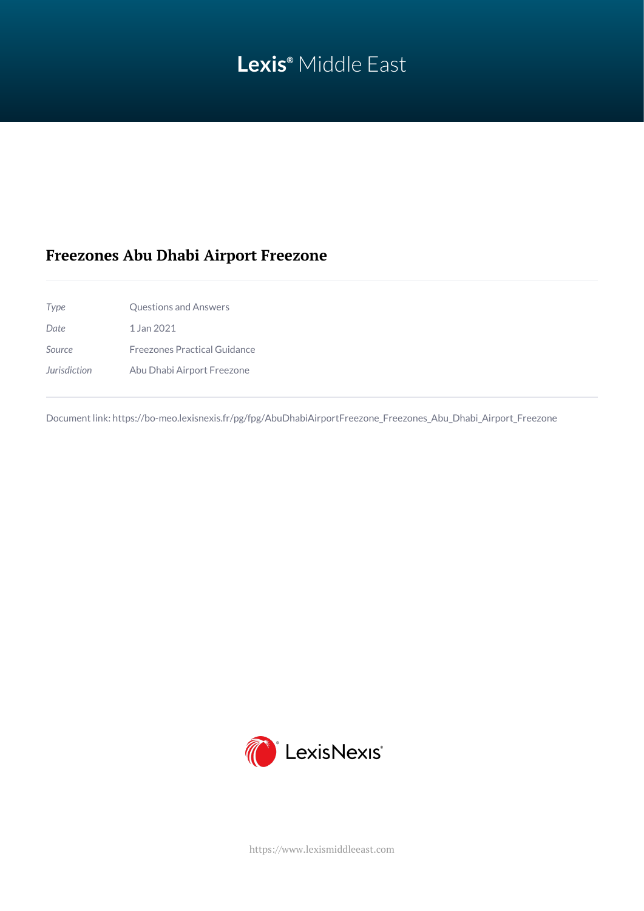# **Lexis®** Middle East

## **Freezones Abu Dhabi Airport Freezone**

*Type* Questions and Answers *Date* 1 Jan 2021 *Source* Freezones Practical Guidance *Jurisdiction* Abu Dhabi Airport Freezone

Document link: [https://bo-meo.lexisnexis.fr/pg/fpg/AbuDhabiAirportFreezone\\_Freezones\\_Abu\\_Dhabi\\_Airport\\_Freezone](https://bo-meo.lexisnexis.fr/pg/fpg/AbuDhabiAirportFreezone_Freezones_Abu_Dhabi_Airport_Freezone)



<https://www.lexismiddleeast.com>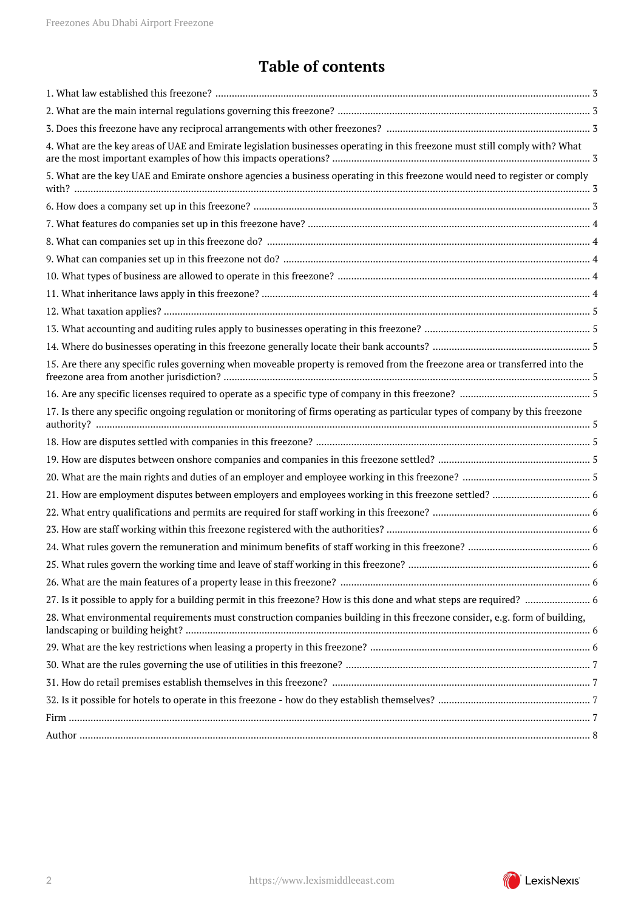## **Table of contents**

| 4. What are the key areas of UAE and Emirate legislation businesses operating in this freezone must still comply with? What   |  |
|-------------------------------------------------------------------------------------------------------------------------------|--|
| 5. What are the key UAE and Emirate onshore agencies a business operating in this freezone would need to register or comply   |  |
|                                                                                                                               |  |
|                                                                                                                               |  |
|                                                                                                                               |  |
|                                                                                                                               |  |
|                                                                                                                               |  |
|                                                                                                                               |  |
|                                                                                                                               |  |
|                                                                                                                               |  |
|                                                                                                                               |  |
| 15. Are there any specific rules governing when moveable property is removed from the freezone area or transferred into the   |  |
|                                                                                                                               |  |
| 17. Is there any specific ongoing regulation or monitoring of firms operating as particular types of company by this freezone |  |
|                                                                                                                               |  |
|                                                                                                                               |  |
|                                                                                                                               |  |
|                                                                                                                               |  |
|                                                                                                                               |  |
|                                                                                                                               |  |
|                                                                                                                               |  |
|                                                                                                                               |  |
|                                                                                                                               |  |
|                                                                                                                               |  |
| 28. What environmental requirements must construction companies building in this freezone consider, e.g. form of building,    |  |
|                                                                                                                               |  |
|                                                                                                                               |  |
|                                                                                                                               |  |
|                                                                                                                               |  |
|                                                                                                                               |  |
|                                                                                                                               |  |
|                                                                                                                               |  |

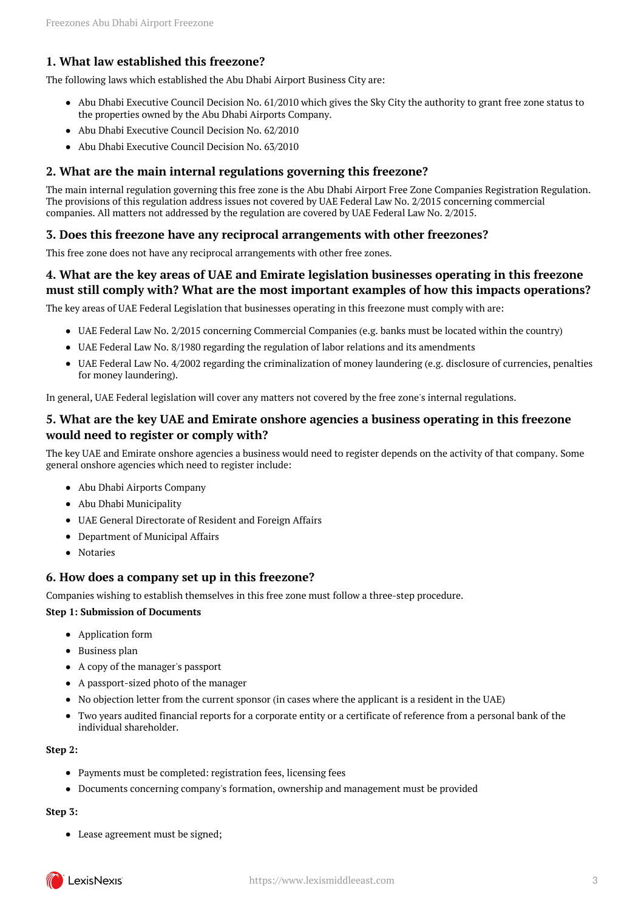## <span id="page-2-0"></span>**1. What law established this freezone?**

The following laws which established the Abu Dhabi Airport Business City are:

- Abu Dhabi Executive Council Decision No. 61/2010 which gives the Sky City the authority to grant free zone status to the properties owned by the Abu Dhabi Airports Company.
- Abu Dhabi Executive Council Decision No. 62/2010
- Abu Dhabi Executive Council Decision No. 63/2010

#### <span id="page-2-1"></span>**2. What are the main internal regulations governing this freezone?**

The main internal regulation governing this free zone is the Abu Dhabi Airport Free Zone Companies Registration Regulation. The provisions of this regulation address issues not covered by UAE Federal Law No. 2/2015 concerning commercial companies. All matters not addressed by the regulation are covered by UAE Federal Law No. 2/2015.

## <span id="page-2-2"></span>**3. Does this freezone have any reciprocal arrangements with other freezones?**

This free zone does not have any reciprocal arrangements with other free zones.

## <span id="page-2-3"></span>**4. What are the key areas of UAE and Emirate legislation businesses operating in this freezone must still comply with? What are the most important examples of how this impacts operations?**

The key areas of UAE Federal Legislation that businesses operating in this freezone must comply with are:

- UAE Federal Law No. 2/2015 concerning Commercial Companies (e.g. banks must be located within the country)
- UAE Federal Law No. 8/1980 regarding the regulation of labor relations and its amendments
- UAE Federal Law No. 4/2002 regarding the criminalization of money laundering (e.g. disclosure of currencies, penalties for money laundering).

In general, UAE Federal legislation will cover any matters not covered by the free zone's internal regulations.

## <span id="page-2-4"></span>**5. What are the key UAE and Emirate onshore agencies a business operating in this freezone would need to register or comply with?**

The key UAE and Emirate onshore agencies a business would need to register depends on the activity of that company. Some general onshore agencies which need to register include:

- Abu Dhabi Airports Company
- Abu Dhabi Municipality
- UAE General Directorate of Resident and Foreign Affairs
- Department of Municipal Affairs
- Notaries

#### <span id="page-2-5"></span>**6. How does a company set up in this freezone?**

Companies wishing to establish themselves in this free zone must follow a three-step procedure.

#### **Step 1: Submission of Documents**

- Application form
- Business plan
- A copy of the manager's passport
- A passport-sized photo of the manager
- No objection letter from the current sponsor (in cases where the applicant is a resident in the UAE)
- Two years audited financial reports for a corporate entity or a certificate of reference from a personal bank of the individual shareholder.

#### **Step 2:**

- Payments must be completed: registration fees, licensing fees
- Documents concerning company's formation, ownership and management must be provided

#### **Step 3:**

Lease agreement must be signed;

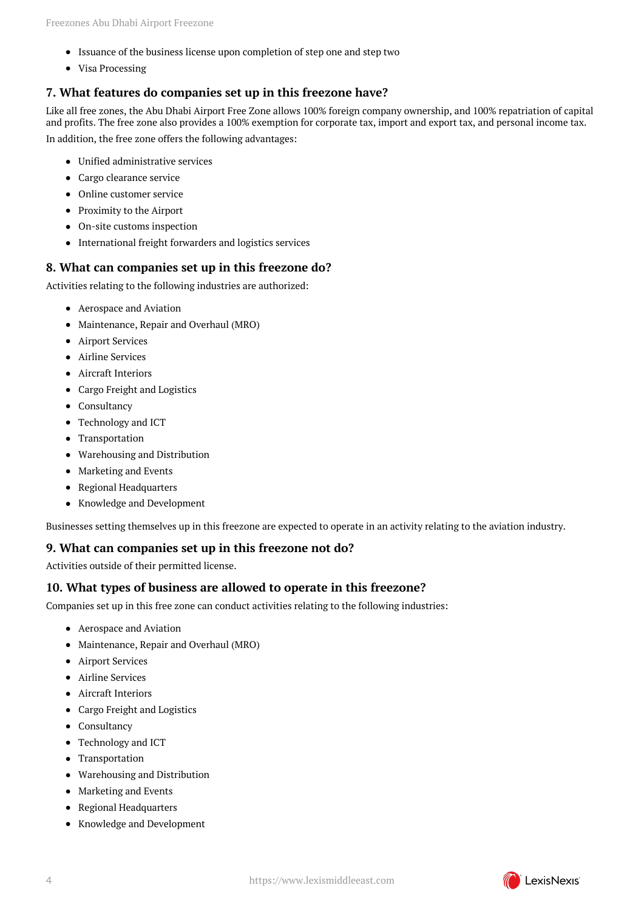- Issuance of the business license upon completion of step one and step two
- Visa Processing

## <span id="page-3-0"></span>**7. What features do companies set up in this freezone have?**

Like all free zones, the Abu Dhabi Airport Free Zone allows 100% foreign company ownership, and 100% repatriation of capital and profits. The free zone also provides a 100% exemption for corporate tax, import and export tax, and personal income tax. In addition, the free zone offers the following advantages:

- Unified administrative services
- Cargo clearance service
- Online customer service
- Proximity to the Airport
- On-site customs inspection
- International freight forwarders and logistics services

#### <span id="page-3-1"></span>**8. What can companies set up in this freezone do?**

Activities relating to the following industries are authorized:

- Aerospace and Aviation
- Maintenance, Repair and Overhaul (MRO)
- **•** Airport Services
- Airline Services
- Aircraft Interiors
- Cargo Freight and Logistics
- Consultancy
- Technology and ICT
- Transportation
- Warehousing and Distribution
- Marketing and Events
- Regional Headquarters
- Knowledge and Development

Businesses setting themselves up in this freezone are expected to operate in an activity relating to the aviation industry.

#### <span id="page-3-2"></span>**9. What can companies set up in this freezone not do?**

Activities outside of their permitted license.

#### <span id="page-3-3"></span>**10. What types of business are allowed to operate in this freezone?**

Companies set up in this free zone can conduct activities relating to the following industries:

- Aerospace and Aviation
- Maintenance, Repair and Overhaul (MRO)
- **•** Airport Services
- Airline Services
- Aircraft Interiors
- Cargo Freight and Logistics
- Consultancy
- Technology and ICT
- Transportation
- Warehousing and Distribution
- Marketing and Events
- Regional Headquarters
- <span id="page-3-4"></span>Knowledge and Development

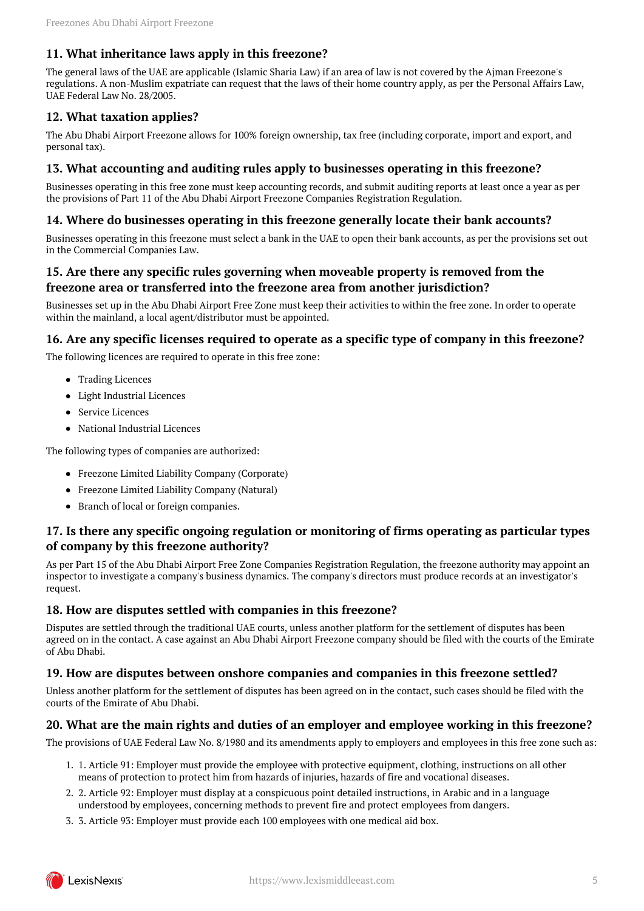## **11. What inheritance laws apply in this freezone?**

The general laws of the UAE are applicable (Islamic Sharia Law) if an area of law is not covered by the Ajman Freezone's regulations. A non-Muslim expatriate can request that the laws of their home country apply, as per the Personal Affairs Law, UAE Federal Law No. 28/2005.

## <span id="page-4-0"></span>**12. What taxation applies?**

The Abu Dhabi Airport Freezone allows for 100% foreign ownership, tax free (including corporate, import and export, and personal tax).

## <span id="page-4-1"></span>**13. What accounting and auditing rules apply to businesses operating in this freezone?**

Businesses operating in this free zone must keep accounting records, and submit auditing reports at least once a year as per the provisions of Part 11 of the Abu Dhabi Airport Freezone Companies Registration Regulation.

#### <span id="page-4-2"></span>**14. Where do businesses operating in this freezone generally locate their bank accounts?**

Businesses operating in this freezone must select a bank in the UAE to open their bank accounts, as per the provisions set out in the Commercial Companies Law.

## <span id="page-4-3"></span>**15. Are there any specific rules governing when moveable property is removed from the freezone area or transferred into the freezone area from another jurisdiction?**

Businesses set up in the Abu Dhabi Airport Free Zone must keep their activities to within the free zone. In order to operate within the mainland, a local agent/distributor must be appointed.

## <span id="page-4-4"></span>**16. Are any specific licenses required to operate as a specific type of company in this freezone?**

The following licences are required to operate in this free zone:

- Trading Licences
- Light Industrial Licences
- Service Licences
- National Industrial Licences

The following types of companies are authorized:

- Freezone Limited Liability Company (Corporate)
- Freezone Limited Liability Company (Natural)
- Branch of local or foreign companies.

## <span id="page-4-5"></span>**17. Is there any specific ongoing regulation or monitoring of firms operating as particular types of company by this freezone authority?**

As per Part 15 of the Abu Dhabi Airport Free Zone Companies Registration Regulation, the freezone authority may appoint an inspector to investigate a company's business dynamics. The company's directors must produce records at an investigator's request.

## <span id="page-4-6"></span>**18. How are disputes settled with companies in this freezone?**

Disputes are settled through the traditional UAE courts, unless another platform for the settlement of disputes has been agreed on in the contact. A case against an Abu Dhabi Airport Freezone company should be filed with the courts of the Emirate of Abu Dhabi.

## <span id="page-4-7"></span>**19. How are disputes between onshore companies and companies in this freezone settled?**

Unless another platform for the settlement of disputes has been agreed on in the contact, such cases should be filed with the courts of the Emirate of Abu Dhabi.

## <span id="page-4-8"></span>**20. What are the main rights and duties of an employer and employee working in this freezone?**

The provisions of UAE Federal Law No. 8/1980 and its amendments apply to employers and employees in this free zone such as:

- 1. 1. Article 91: Employer must provide the employee with protective equipment, clothing, instructions on all other means of protection to protect him from hazards of injuries, hazards of fire and vocational diseases.
- 2. 2. Article 92: Employer must display at a conspicuous point detailed instructions, in Arabic and in a language understood by employees, concerning methods to prevent fire and protect employees from dangers.
- 3. 3. Article 93: Employer must provide each 100 employees with one medical aid box.

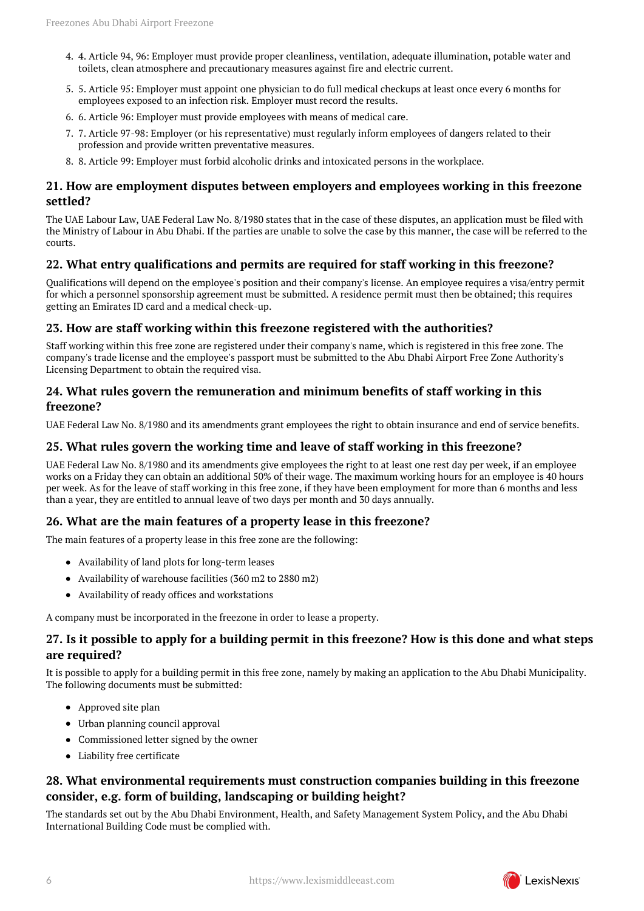- 4. 4. Article 94, 96: Employer must provide proper cleanliness, ventilation, adequate illumination, potable water and toilets, clean atmosphere and precautionary measures against fire and electric current.
- 5. 5. Article 95: Employer must appoint one physician to do full medical checkups at least once every 6 months for employees exposed to an infection risk. Employer must record the results.
- 6. 6. Article 96: Employer must provide employees with means of medical care.
- 7. 7. Article 97-98: Employer (or his representative) must regularly inform employees of dangers related to their profession and provide written preventative measures.
- 8. 8. Article 99: Employer must forbid alcoholic drinks and intoxicated persons in the workplace.

## <span id="page-5-0"></span>**21. How are employment disputes between employers and employees working in this freezone settled?**

The UAE Labour Law, UAE Federal Law No. 8/1980 states that in the case of these disputes, an application must be filed with the Ministry of Labour in Abu Dhabi. If the parties are unable to solve the case by this manner, the case will be referred to the courts.

## <span id="page-5-1"></span>**22. What entry qualifications and permits are required for staff working in this freezone?**

Qualifications will depend on the employee's position and their company's license. An employee requires a visa/entry permit for which a personnel sponsorship agreement must be submitted. A residence permit must then be obtained; this requires getting an Emirates ID card and a medical check-up.

#### <span id="page-5-2"></span>**23. How are staff working within this freezone registered with the authorities?**

Staff working within this free zone are registered under their company's name, which is registered in this free zone. The company's trade license and the employee's passport must be submitted to the Abu Dhabi Airport Free Zone Authority's Licensing Department to obtain the required visa.

#### <span id="page-5-3"></span>**24. What rules govern the remuneration and minimum benefits of staff working in this freezone?**

UAE Federal Law No. 8/1980 and its amendments grant employees the right to obtain insurance and end of service benefits.

#### <span id="page-5-4"></span>**25. What rules govern the working time and leave of staff working in this freezone?**

UAE Federal Law No. 8/1980 and its amendments give employees the right to at least one rest day per week, if an employee works on a Friday they can obtain an additional 50% of their wage. The maximum working hours for an employee is 40 hours per week. As for the leave of staff working in this free zone, if they have been employment for more than 6 months and less than a year, they are entitled to annual leave of two days per month and 30 days annually.

#### <span id="page-5-5"></span>**26. What are the main features of a property lease in this freezone?**

The main features of a property lease in this free zone are the following:

- Availability of land plots for long-term leases
- Availability of warehouse facilities (360 m2 to 2880 m2)
- Availability of ready offices and workstations

A company must be incorporated in the freezone in order to lease a property.

#### <span id="page-5-6"></span>**27. Is it possible to apply for a building permit in this freezone? How is this done and what steps are required?**

It is possible to apply for a building permit in this free zone, namely by making an application to the Abu Dhabi Municipality. The following documents must be submitted:

- Approved site plan
- Urban planning council approval
- Commissioned letter signed by the owner
- Liability free certificate

## <span id="page-5-7"></span>**28. What environmental requirements must construction companies building in this freezone consider, e.g. form of building, landscaping or building height?**

<span id="page-5-8"></span>The standards set out by the Abu Dhabi Environment, Health, and Safety Management System Policy, and the Abu Dhabi International Building Code must be complied with.

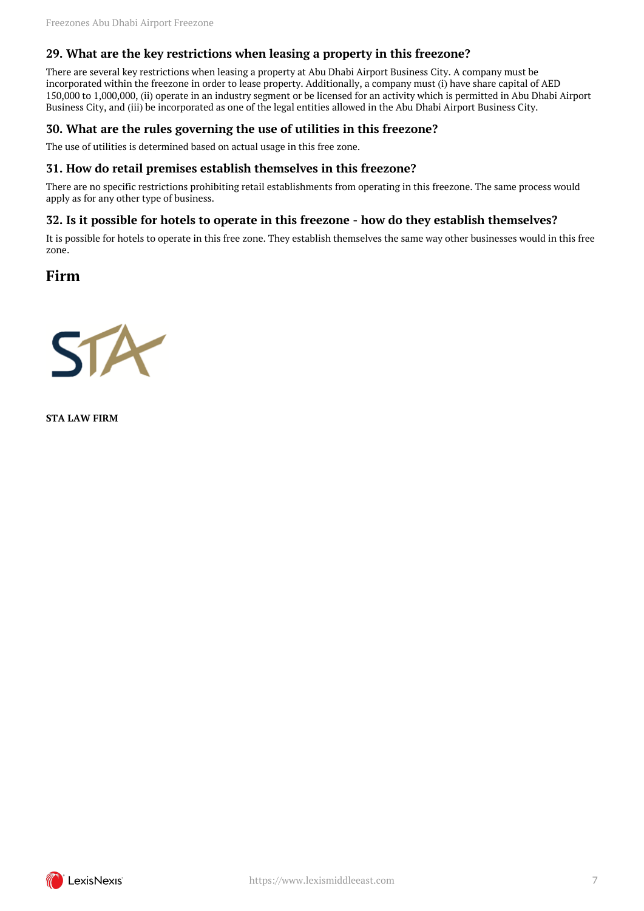## **29. What are the key restrictions when leasing a property in this freezone?**

There are several key restrictions when leasing a property at Abu Dhabi Airport Business City. A company must be incorporated within the freezone in order to lease property. Additionally, a company must (i) have share capital of AED 150,000 to 1,000,000, (ii) operate in an industry segment or be licensed for an activity which is permitted in Abu Dhabi Airport Business City, and (iii) be incorporated as one of the legal entities allowed in the Abu Dhabi Airport Business City.

#### <span id="page-6-0"></span>**30. What are the rules governing the use of utilities in this freezone?**

The use of utilities is determined based on actual usage in this free zone.

#### <span id="page-6-1"></span>**31. How do retail premises establish themselves in this freezone?**

There are no specific restrictions prohibiting retail establishments from operating in this freezone. The same process would apply as for any other type of business.

#### <span id="page-6-2"></span>**32. Is it possible for hotels to operate in this freezone - how do they establish themselves?**

It is possible for hotels to operate in this free zone. They establish themselves the same way other businesses would in this free zone.

<span id="page-6-3"></span>**Firm**



**STA LAW FIRM**